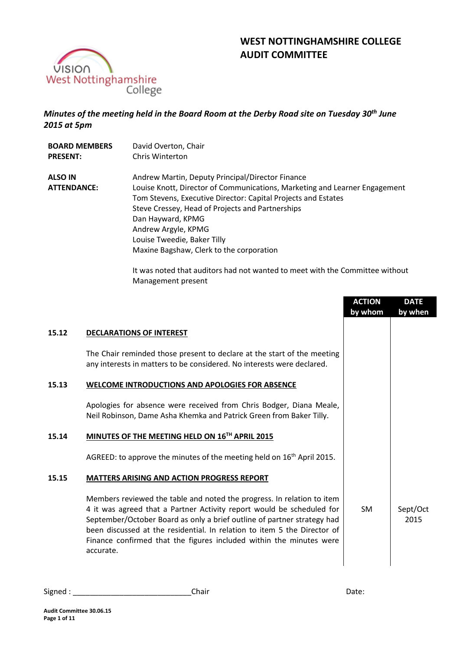

# **WEST NOTTINGHAMSHIRE COLLEGE AUDIT COMMITTEE**

## *Minutes of the meeting held in the Board Room at the Derby Road site on Tuesday 30th June 2015 at 5pm*

| <b>BOARD MEMBERS</b>          | David Overton, Chair                                                                                                                                                                                                                                                                                                                                                       |
|-------------------------------|----------------------------------------------------------------------------------------------------------------------------------------------------------------------------------------------------------------------------------------------------------------------------------------------------------------------------------------------------------------------------|
| <b>PRESENT:</b>               | Chris Winterton                                                                                                                                                                                                                                                                                                                                                            |
| ALSO IN<br><b>ATTENDANCE:</b> | Andrew Martin, Deputy Principal/Director Finance<br>Louise Knott, Director of Communications, Marketing and Learner Engagement<br>Tom Stevens, Executive Director: Capital Projects and Estates<br>Steve Cressey, Head of Projects and Partnerships<br>Dan Hayward, KPMG<br>Andrew Argyle, KPMG<br>Louise Tweedie, Baker Tilly<br>Maxine Bagshaw, Clerk to the corporation |

It was noted that auditors had not wanted to meet with the Committee without Management present

|       |                                                                                                                                                                                                                                                                                                                                                                                            | <b>ACTION</b><br>by whom | <b>DATE</b><br>by when |
|-------|--------------------------------------------------------------------------------------------------------------------------------------------------------------------------------------------------------------------------------------------------------------------------------------------------------------------------------------------------------------------------------------------|--------------------------|------------------------|
| 15.12 | <b>DECLARATIONS OF INTEREST</b>                                                                                                                                                                                                                                                                                                                                                            |                          |                        |
|       | The Chair reminded those present to declare at the start of the meeting<br>any interests in matters to be considered. No interests were declared.                                                                                                                                                                                                                                          |                          |                        |
| 15.13 | WELCOME INTRODUCTIONS AND APOLOGIES FOR ABSENCE                                                                                                                                                                                                                                                                                                                                            |                          |                        |
|       | Apologies for absence were received from Chris Bodger, Diana Meale,<br>Neil Robinson, Dame Asha Khemka and Patrick Green from Baker Tilly.                                                                                                                                                                                                                                                 |                          |                        |
| 15.14 | MINUTES OF THE MEETING HELD ON 16TH APRIL 2015                                                                                                                                                                                                                                                                                                                                             |                          |                        |
|       | AGREED: to approve the minutes of the meeting held on $16th$ April 2015.                                                                                                                                                                                                                                                                                                                   |                          |                        |
| 15.15 | <b>MATTERS ARISING AND ACTION PROGRESS REPORT</b>                                                                                                                                                                                                                                                                                                                                          |                          |                        |
|       | Members reviewed the table and noted the progress. In relation to item<br>4 it was agreed that a Partner Activity report would be scheduled for<br>September/October Board as only a brief outline of partner strategy had<br>been discussed at the residential. In relation to item 5 the Director of<br>Finance confirmed that the figures included within the minutes were<br>accurate. | SM.                      | Sept/Oct<br>2015       |

| Signed | nnir<br>uan. | ∵dlt. |
|--------|--------------|-------|
|--------|--------------|-------|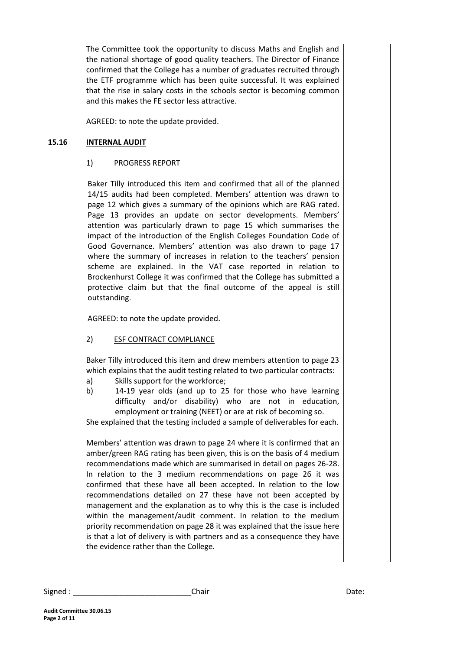The Committee took the opportunity to discuss Maths and English and the national shortage of good quality teachers. The Director of Finance confirmed that the College has a number of graduates recruited through the ETF programme which has been quite successful. It was explained that the rise in salary costs in the schools sector is becoming common and this makes the FE sector less attractive.

AGREED: to note the update provided.

#### **15.16 INTERNAL AUDIT**

#### 1) PROGRESS REPORT

Baker Tilly introduced this item and confirmed that all of the planned 14/15 audits had been completed. Members' attention was drawn to page 12 which gives a summary of the opinions which are RAG rated. Page 13 provides an update on sector developments. Members' attention was particularly drawn to page 15 which summarises the impact of the introduction of the English Colleges Foundation Code of Good Governance. Members' attention was also drawn to page 17 where the summary of increases in relation to the teachers' pension scheme are explained. In the VAT case reported in relation to Brockenhurst College it was confirmed that the College has submitted a protective claim but that the final outcome of the appeal is still outstanding.

AGREED: to note the update provided.

#### 2) ESF CONTRACT COMPLIANCE

Baker Tilly introduced this item and drew members attention to page 23 which explains that the audit testing related to two particular contracts:

- a) Skills support for the workforce;
- b) 14-19 year olds (and up to 25 for those who have learning difficulty and/or disability) who are not in education, employment or training (NEET) or are at risk of becoming so.

She explained that the testing included a sample of deliverables for each.

Members' attention was drawn to page 24 where it is confirmed that an amber/green RAG rating has been given, this is on the basis of 4 medium recommendations made which are summarised in detail on pages 26-28. In relation to the 3 medium recommendations on page 26 it was confirmed that these have all been accepted. In relation to the low recommendations detailed on 27 these have not been accepted by management and the explanation as to why this is the case is included within the management/audit comment. In relation to the medium priority recommendation on page 28 it was explained that the issue here is that a lot of delivery is with partners and as a consequence they have the evidence rather than the College.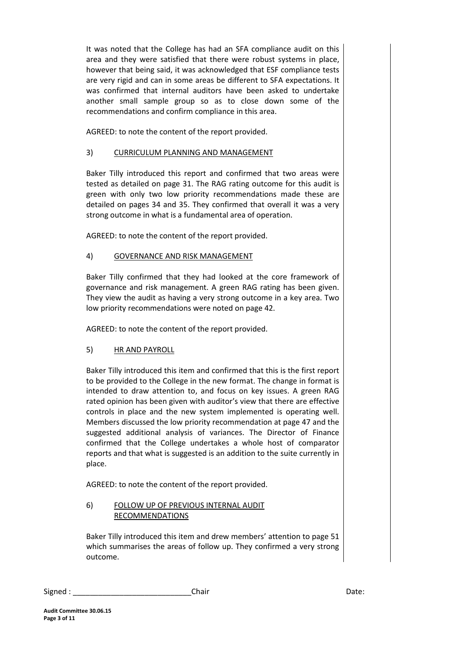It was noted that the College has had an SFA compliance audit on this area and they were satisfied that there were robust systems in place, however that being said, it was acknowledged that ESF compliance tests are very rigid and can in some areas be different to SFA expectations. It was confirmed that internal auditors have been asked to undertake another small sample group so as to close down some of the recommendations and confirm compliance in this area.

AGREED: to note the content of the report provided.

## 3) CURRICULUM PLANNING AND MANAGEMENT

Baker Tilly introduced this report and confirmed that two areas were tested as detailed on page 31. The RAG rating outcome for this audit is green with only two low priority recommendations made these are detailed on pages 34 and 35. They confirmed that overall it was a very strong outcome in what is a fundamental area of operation.

AGREED: to note the content of the report provided.

## 4) GOVERNANCE AND RISK MANAGEMENT

Baker Tilly confirmed that they had looked at the core framework of governance and risk management. A green RAG rating has been given. They view the audit as having a very strong outcome in a key area. Two low priority recommendations were noted on page 42.

AGREED: to note the content of the report provided.

## 5) HR AND PAYROLL

Baker Tilly introduced this item and confirmed that this is the first report to be provided to the College in the new format. The change in format is intended to draw attention to, and focus on key issues. A green RAG rated opinion has been given with auditor's view that there are effective controls in place and the new system implemented is operating well. Members discussed the low priority recommendation at page 47 and the suggested additional analysis of variances. The Director of Finance confirmed that the College undertakes a whole host of comparator reports and that what is suggested is an addition to the suite currently in place.

AGREED: to note the content of the report provided.

### 6) FOLLOW UP OF PREVIOUS INTERNAL AUDIT RECOMMENDATIONS

Baker Tilly introduced this item and drew members' attention to page 51 which summarises the areas of follow up. They confirmed a very strong outcome.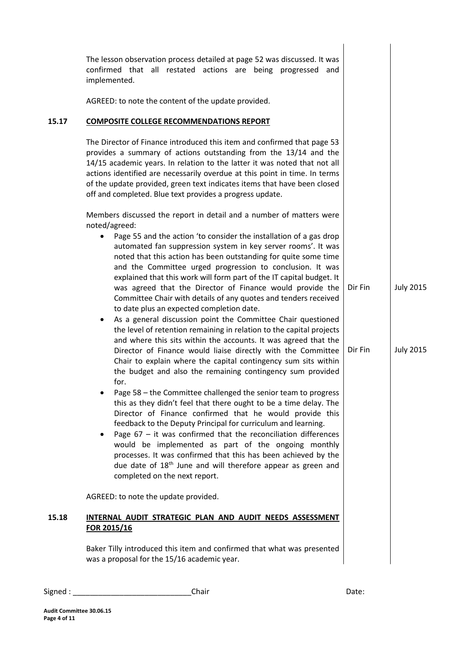|       | The lesson observation process detailed at page 52 was discussed. It was<br>confirmed that all restated actions are being progressed and<br>implemented.                                                                                                                                                                                                                                                                                                                                                                                                                                                                                                                                                                                                                                                                                                                                                                                                                                                                                                                                                                                                                                                             |                    |                                      |
|-------|----------------------------------------------------------------------------------------------------------------------------------------------------------------------------------------------------------------------------------------------------------------------------------------------------------------------------------------------------------------------------------------------------------------------------------------------------------------------------------------------------------------------------------------------------------------------------------------------------------------------------------------------------------------------------------------------------------------------------------------------------------------------------------------------------------------------------------------------------------------------------------------------------------------------------------------------------------------------------------------------------------------------------------------------------------------------------------------------------------------------------------------------------------------------------------------------------------------------|--------------------|--------------------------------------|
|       | AGREED: to note the content of the update provided.                                                                                                                                                                                                                                                                                                                                                                                                                                                                                                                                                                                                                                                                                                                                                                                                                                                                                                                                                                                                                                                                                                                                                                  |                    |                                      |
| 15.17 | <b>COMPOSITE COLLEGE RECOMMENDATIONS REPORT</b>                                                                                                                                                                                                                                                                                                                                                                                                                                                                                                                                                                                                                                                                                                                                                                                                                                                                                                                                                                                                                                                                                                                                                                      |                    |                                      |
|       | The Director of Finance introduced this item and confirmed that page 53<br>provides a summary of actions outstanding from the 13/14 and the<br>14/15 academic years. In relation to the latter it was noted that not all<br>actions identified are necessarily overdue at this point in time. In terms<br>of the update provided, green text indicates items that have been closed<br>off and completed. Blue text provides a progress update.                                                                                                                                                                                                                                                                                                                                                                                                                                                                                                                                                                                                                                                                                                                                                                       |                    |                                      |
|       | Members discussed the report in detail and a number of matters were<br>noted/agreed:                                                                                                                                                                                                                                                                                                                                                                                                                                                                                                                                                                                                                                                                                                                                                                                                                                                                                                                                                                                                                                                                                                                                 |                    |                                      |
|       | Page 55 and the action 'to consider the installation of a gas drop<br>automated fan suppression system in key server rooms'. It was<br>noted that this action has been outstanding for quite some time<br>and the Committee urged progression to conclusion. It was<br>explained that this work will form part of the IT capital budget. It<br>was agreed that the Director of Finance would provide the<br>Committee Chair with details of any quotes and tenders received<br>to date plus an expected completion date.<br>As a general discussion point the Committee Chair questioned<br>٠<br>the level of retention remaining in relation to the capital projects<br>and where this sits within the accounts. It was agreed that the<br>Director of Finance would liaise directly with the Committee<br>Chair to explain where the capital contingency sum sits within<br>the budget and also the remaining contingency sum provided<br>for.<br>Page 58 - the Committee challenged the senior team to progress<br>this as they didn't feel that there ought to be a time delay. The<br>Director of Finance confirmed that he would provide this<br>feedback to the Deputy Principal for curriculum and learning. | Dir Fin<br>Dir Fin | <b>July 2015</b><br><b>July 2015</b> |
|       | Page $67 - it$ was confirmed that the reconciliation differences<br>٠<br>would be implemented as part of the ongoing monthly<br>processes. It was confirmed that this has been achieved by the<br>due date of 18 <sup>th</sup> June and will therefore appear as green and<br>completed on the next report.                                                                                                                                                                                                                                                                                                                                                                                                                                                                                                                                                                                                                                                                                                                                                                                                                                                                                                          |                    |                                      |
|       | AGREED: to note the update provided.                                                                                                                                                                                                                                                                                                                                                                                                                                                                                                                                                                                                                                                                                                                                                                                                                                                                                                                                                                                                                                                                                                                                                                                 |                    |                                      |
| 15.18 | INTERNAL AUDIT STRATEGIC PLAN AND AUDIT NEEDS ASSESSMENT<br>FOR 2015/16                                                                                                                                                                                                                                                                                                                                                                                                                                                                                                                                                                                                                                                                                                                                                                                                                                                                                                                                                                                                                                                                                                                                              |                    |                                      |
|       | Baker Tilly introduced this item and confirmed that what was presented<br>was a proposal for the 15/16 academic year.                                                                                                                                                                                                                                                                                                                                                                                                                                                                                                                                                                                                                                                                                                                                                                                                                                                                                                                                                                                                                                                                                                |                    |                                      |
|       |                                                                                                                                                                                                                                                                                                                                                                                                                                                                                                                                                                                                                                                                                                                                                                                                                                                                                                                                                                                                                                                                                                                                                                                                                      |                    |                                      |

| Signed | Chair | า∽+∙<br>Dale. |
|--------|-------|---------------|
|--------|-------|---------------|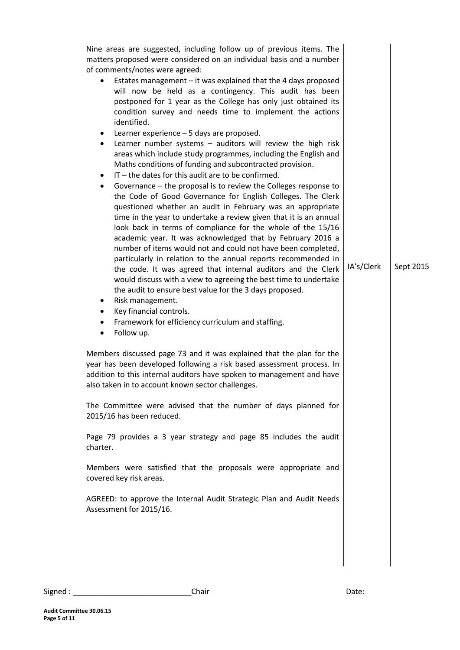| Nine areas are suggested, including follow up of previous items. The<br>matters proposed were considered on an individual basis and a number<br>of comments/notes were agreed:<br>Estates management - it was explained that the 4 days proposed<br>will now be held as a contingency. This audit has been<br>postponed for 1 year as the College has only just obtained its<br>condition survey and needs time to implement the actions<br>identified.<br>Learner experience - 5 days are proposed.<br>$\bullet$<br>Learner number systems $-$ auditors will review the high risk<br>$\bullet$<br>areas which include study programmes, including the English and<br>Maths conditions of funding and subcontracted provision.<br>$IT$ – the dates for this audit are to be confirmed.<br>$\bullet$<br>Governance - the proposal is to review the Colleges response to<br>٠<br>the Code of Good Governance for English Colleges. The Clerk<br>questioned whether an audit in February was an appropriate<br>time in the year to undertake a review given that it is an annual<br>look back in terms of compliance for the whole of the 15/16<br>academic year. It was acknowledged that by February 2016 a<br>number of items would not and could not have been completed,<br>particularly in relation to the annual reports recommended in<br>the code. It was agreed that internal auditors and the Clerk<br>would discuss with a view to agreeing the best time to undertake<br>the audit to ensure best value for the 3 days proposed.<br>Risk management.<br>٠<br>Key financial controls.<br>$\bullet$<br>Framework for efficiency curriculum and staffing.<br>٠<br>Follow up.<br>$\bullet$<br>Members discussed page 73 and it was explained that the plan for the<br>year has been developed following a risk based assessment process. In<br>addition to this internal auditors have spoken to management and have<br>also taken in to account known sector challenges.<br>The Committee were advised that the number of days planned for<br>2015/16 has been reduced.<br>Page 79 provides a 3 year strategy and page 85 includes the audit<br>charter.<br>Members were satisfied that the proposals were appropriate and<br>covered key risk areas.<br>AGREED: to approve the Internal Audit Strategic Plan and Audit Needs<br>Assessment for 2015/16. | IA's/Clerk | Sept 2015 |
|-----------------------------------------------------------------------------------------------------------------------------------------------------------------------------------------------------------------------------------------------------------------------------------------------------------------------------------------------------------------------------------------------------------------------------------------------------------------------------------------------------------------------------------------------------------------------------------------------------------------------------------------------------------------------------------------------------------------------------------------------------------------------------------------------------------------------------------------------------------------------------------------------------------------------------------------------------------------------------------------------------------------------------------------------------------------------------------------------------------------------------------------------------------------------------------------------------------------------------------------------------------------------------------------------------------------------------------------------------------------------------------------------------------------------------------------------------------------------------------------------------------------------------------------------------------------------------------------------------------------------------------------------------------------------------------------------------------------------------------------------------------------------------------------------------------------------------------------------------------------------------------------------------------------------------------------------------------------------------------------------------------------------------------------------------------------------------------------------------------------------------------------------------------------------------------------------------------------------------------------------------------------------------------------------------------------------------------------------------------------|------------|-----------|
|                                                                                                                                                                                                                                                                                                                                                                                                                                                                                                                                                                                                                                                                                                                                                                                                                                                                                                                                                                                                                                                                                                                                                                                                                                                                                                                                                                                                                                                                                                                                                                                                                                                                                                                                                                                                                                                                                                                                                                                                                                                                                                                                                                                                                                                                                                                                                                 |            |           |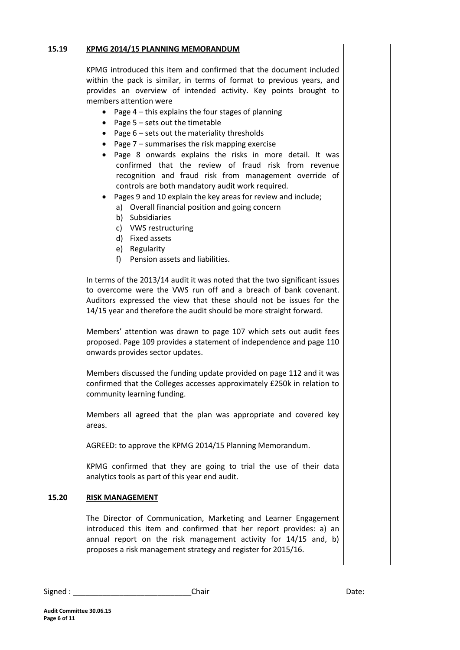#### **15.19 KPMG 2014/15 PLANNING MEMORANDUM**

KPMG introduced this item and confirmed that the document included within the pack is similar, in terms of format to previous years, and provides an overview of intended activity. Key points brought to members attention were

- Page  $4$  this explains the four stages of planning
- Page  $5$  sets out the timetable
- Page  $6$  sets out the materiality thresholds
- Page  $7$  summarises the risk mapping exercise
- Page 8 onwards explains the risks in more detail. It was confirmed that the review of fraud risk from revenue recognition and fraud risk from management override of controls are both mandatory audit work required.
- Pages 9 and 10 explain the key areas for review and include;
	- a) Overall financial position and going concern
	- b) Subsidiaries
	- c) VWS restructuring
	- d) Fixed assets
	- e) Regularity
	- f) Pension assets and liabilities.

In terms of the 2013/14 audit it was noted that the two significant issues to overcome were the VWS run off and a breach of bank covenant. Auditors expressed the view that these should not be issues for the 14/15 year and therefore the audit should be more straight forward.

Members' attention was drawn to page 107 which sets out audit fees proposed. Page 109 provides a statement of independence and page 110 onwards provides sector updates.

Members discussed the funding update provided on page 112 and it was confirmed that the Colleges accesses approximately £250k in relation to community learning funding.

Members all agreed that the plan was appropriate and covered key areas.

AGREED: to approve the KPMG 2014/15 Planning Memorandum.

KPMG confirmed that they are going to trial the use of their data analytics tools as part of this year end audit.

#### **15.20 RISK MANAGEMENT**

The Director of Communication, Marketing and Learner Engagement introduced this item and confirmed that her report provides: a) an annual report on the risk management activity for 14/15 and, b) proposes a risk management strategy and register for 2015/16.

| Signed | Chair | ,,,,,<br>Dale. |
|--------|-------|----------------|
|--------|-------|----------------|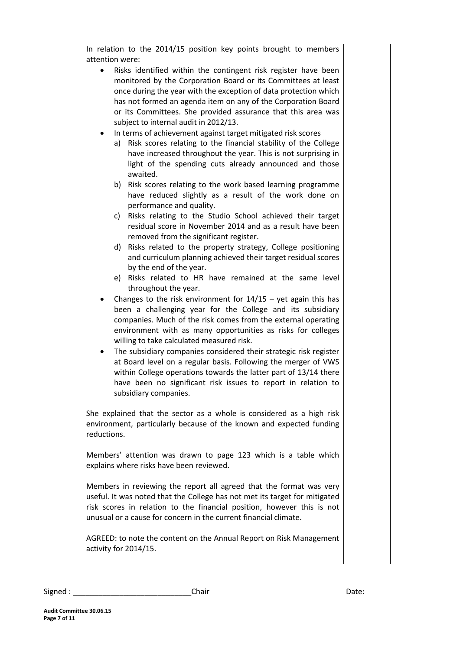In relation to the 2014/15 position key points brought to members attention were:

- Risks identified within the contingent risk register have been monitored by the Corporation Board or its Committees at least once during the year with the exception of data protection which has not formed an agenda item on any of the Corporation Board or its Committees. She provided assurance that this area was subject to internal audit in 2012/13.
- In terms of achievement against target mitigated risk scores
	- a) Risk scores relating to the financial stability of the College have increased throughout the year. This is not surprising in light of the spending cuts already announced and those awaited.
	- b) Risk scores relating to the work based learning programme have reduced slightly as a result of the work done on performance and quality.
	- c) Risks relating to the Studio School achieved their target residual score in November 2014 and as a result have been removed from the significant register.
	- d) Risks related to the property strategy, College positioning and curriculum planning achieved their target residual scores by the end of the year.
	- e) Risks related to HR have remained at the same level throughout the year.
- Changes to the risk environment for  $14/15$  yet again this has been a challenging year for the College and its subsidiary companies. Much of the risk comes from the external operating environment with as many opportunities as risks for colleges willing to take calculated measured risk.
- The subsidiary companies considered their strategic risk register at Board level on a regular basis. Following the merger of VWS within College operations towards the latter part of 13/14 there have been no significant risk issues to report in relation to subsidiary companies.

She explained that the sector as a whole is considered as a high risk environment, particularly because of the known and expected funding reductions.

Members' attention was drawn to page 123 which is a table which explains where risks have been reviewed.

Members in reviewing the report all agreed that the format was very useful. It was noted that the College has not met its target for mitigated risk scores in relation to the financial position, however this is not unusual or a cause for concern in the current financial climate.

AGREED: to note the content on the Annual Report on Risk Management activity for 2014/15.

| Signed | Chair | Date: |
|--------|-------|-------|
|--------|-------|-------|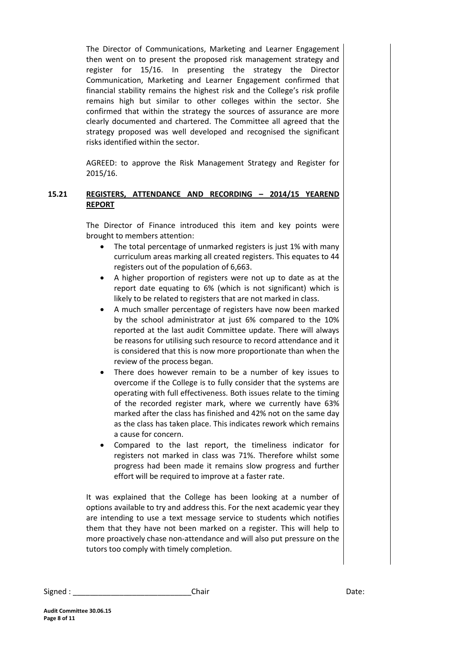The Director of Communications, Marketing and Learner Engagement then went on to present the proposed risk management strategy and register for 15/16. In presenting the strategy the Director Communication, Marketing and Learner Engagement confirmed that financial stability remains the highest risk and the College's risk profile remains high but similar to other colleges within the sector. She confirmed that within the strategy the sources of assurance are more clearly documented and chartered. The Committee all agreed that the strategy proposed was well developed and recognised the significant risks identified within the sector.

AGREED: to approve the Risk Management Strategy and Register for 2015/16.

#### **15.21 REGISTERS, ATTENDANCE AND RECORDING – 2014/15 YEAREND REPORT**

The Director of Finance introduced this item and key points were brought to members attention:

- The total percentage of unmarked registers is just 1% with many curriculum areas marking all created registers. This equates to 44 registers out of the population of 6,663.
- A higher proportion of registers were not up to date as at the report date equating to 6% (which is not significant) which is likely to be related to registers that are not marked in class.
- A much smaller percentage of registers have now been marked by the school administrator at just 6% compared to the 10% reported at the last audit Committee update. There will always be reasons for utilising such resource to record attendance and it is considered that this is now more proportionate than when the review of the process began.
- There does however remain to be a number of key issues to overcome if the College is to fully consider that the systems are operating with full effectiveness. Both issues relate to the timing of the recorded register mark, where we currently have 63% marked after the class has finished and 42% not on the same day as the class has taken place. This indicates rework which remains a cause for concern.
- Compared to the last report, the timeliness indicator for registers not marked in class was 71%. Therefore whilst some progress had been made it remains slow progress and further effort will be required to improve at a faster rate.

It was explained that the College has been looking at a number of options available to try and address this. For the next academic year they are intending to use a text message service to students which notifies them that they have not been marked on a register. This will help to more proactively chase non-attendance and will also put pressure on the tutors too comply with timely completion.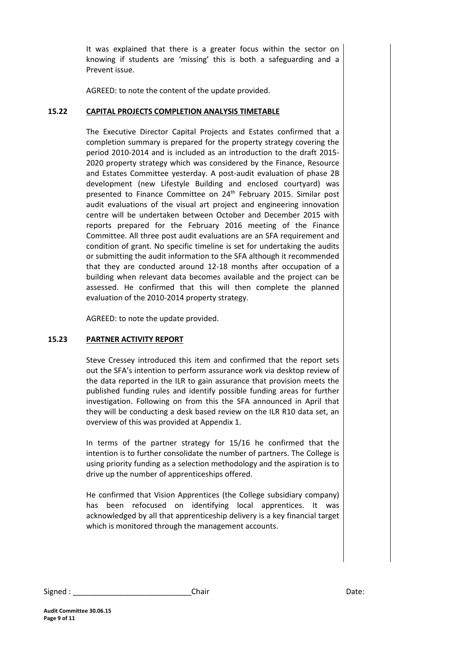It was explained that there is a greater focus within the sector on knowing if students are 'missing' this is both a safeguarding and a Prevent issue.

AGREED: to note the content of the update provided.

#### **15.22 CAPITAL PROJECTS COMPLETION ANALYSIS TIMETABLE**

The Executive Director Capital Projects and Estates confirmed that a completion summary is prepared for the property strategy covering the period 2010-2014 and is included as an introduction to the draft 2015- 2020 property strategy which was considered by the Finance, Resource and Estates Committee yesterday. A post-audit evaluation of phase 2B development (new Lifestyle Building and enclosed courtyard) was presented to Finance Committee on 24<sup>th</sup> February 2015. Similar post audit evaluations of the visual art project and engineering innovation centre will be undertaken between October and December 2015 with reports prepared for the February 2016 meeting of the Finance Committee. All three post audit evaluations are an SFA requirement and condition of grant. No specific timeline is set for undertaking the audits or submitting the audit information to the SFA although it recommended that they are conducted around 12-18 months after occupation of a building when relevant data becomes available and the project can be assessed. He confirmed that this will then complete the planned evaluation of the 2010-2014 property strategy.

AGREED: to note the update provided.

#### **15.23 PARTNER ACTIVITY REPORT**

Steve Cressey introduced this item and confirmed that the report sets out the SFA's intention to perform assurance work via desktop review of the data reported in the ILR to gain assurance that provision meets the published funding rules and identify possible funding areas for further investigation. Following on from this the SFA announced in April that they will be conducting a desk based review on the ILR R10 data set, an overview of this was provided at Appendix 1.

In terms of the partner strategy for 15/16 he confirmed that the intention is to further consolidate the number of partners. The College is using priority funding as a selection methodology and the aspiration is to drive up the number of apprenticeships offered.

He confirmed that Vision Apprentices (the College subsidiary company) has been refocused on identifying local apprentices. It was acknowledged by all that apprenticeship delivery is a key financial target which is monitored through the management accounts.

Signed : \_\_\_\_\_\_\_\_\_\_\_\_\_\_\_\_\_\_\_\_\_\_\_\_\_\_\_\_Chair Date: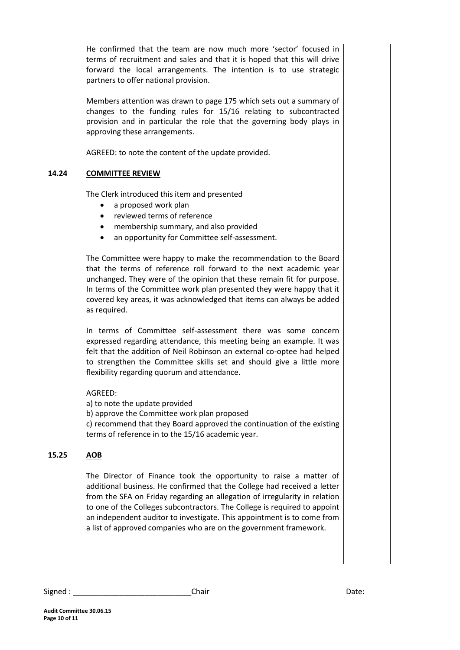He confirmed that the team are now much more 'sector' focused in terms of recruitment and sales and that it is hoped that this will drive forward the local arrangements. The intention is to use strategic partners to offer national provision.

Members attention was drawn to page 175 which sets out a summary of changes to the funding rules for 15/16 relating to subcontracted provision and in particular the role that the governing body plays in approving these arrangements.

AGREED: to note the content of the update provided.

#### **14.24 COMMITTEE REVIEW**

The Clerk introduced this item and presented

- a proposed work plan
- reviewed terms of reference
- membership summary, and also provided
- an opportunity for Committee self-assessment.

The Committee were happy to make the recommendation to the Board that the terms of reference roll forward to the next academic year unchanged. They were of the opinion that these remain fit for purpose. In terms of the Committee work plan presented they were happy that it covered key areas, it was acknowledged that items can always be added as required.

In terms of Committee self-assessment there was some concern expressed regarding attendance, this meeting being an example. It was felt that the addition of Neil Robinson an external co-optee had helped to strengthen the Committee skills set and should give a little more flexibility regarding quorum and attendance.

#### AGREED:

a) to note the update provided b) approve the Committee work plan proposed c) recommend that they Board approved the continuation of the existing

terms of reference in to the 15/16 academic year.

#### **15.25 AOB**

The Director of Finance took the opportunity to raise a matter of additional business. He confirmed that the College had received a letter from the SFA on Friday regarding an allegation of irregularity in relation to one of the Colleges subcontractors. The College is required to appoint an independent auditor to investigate. This appointment is to come from a list of approved companies who are on the government framework.